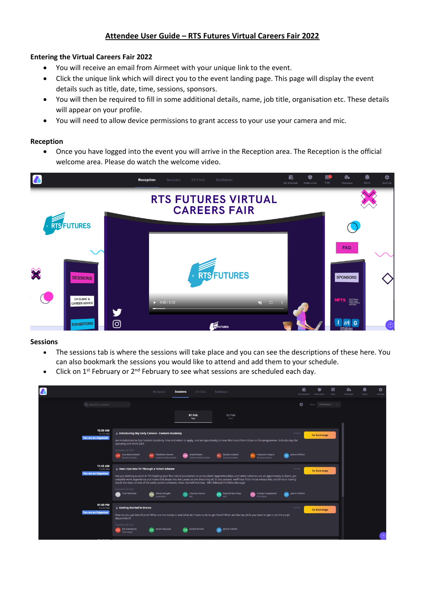# **Attendee User Guide – RTS Futures Virtual Careers Fair 2022**

# **Entering the Virtual Careers Fair 2022**

- You will receive an email from Airmeet with your unique link to the event.
- Click the unique link which will direct you to the event landing page. This page will display the event details such as title, date, time, sessions, sponsors.
- You will then be required to fill in some additional details, name, job title, organisation etc. These details will appear on your profile.
- You will need to allow device permissions to grant access to your use your camera and mic.

## **Reception**

• Once you have logged into the event you will arrive in the Reception area. The Reception is the official welcome area. Please do watch the welcome video.



## **Sessions**

- The sessions tab is where the sessions will take place and you can see the descriptions of these here. You can also bookmark the sessions you would like to attend and add them to your schedule.
- Click on 1<sup>st</sup> February or 2<sup>nd</sup> February to see what sessions are scheduled each day.

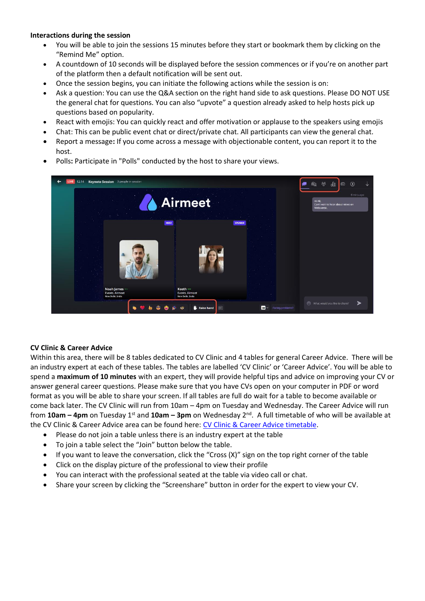# **Interactions during the session**

- You will be able to join the sessions 15 minutes before they start or bookmark them by clicking on the "Remind Me" option.
- A countdown of 10 seconds will be displayed before the session commences or if you're on another part of the platform then a default notification will be sent out.
- Once the session begins, you can initiate the following actions while the session is on:
- Ask a question: You can use the Q&A section on the right hand side to ask questions. Please DO NOT USE the general chat for questions. You can also "upvote" a question already asked to help hosts pick up questions based on popularity.
- React with emojis: You can quickly react and offer motivation or applause to the speakers using emojis
- Chat: This can be public event chat or direct/private chat. All participants can view the general chat.
- Report a message**:** If you come across a message with objectionable content, you can report it to the host.
- Polls**:** Participate in "Polls" conducted by the host to share your views.



## **CV Clinic & Career Advice**

Within this area, there will be 8 tables dedicated to CV Clinic and 4 tables for general Career Advice. There will be an industry expert at each of these tables. The tables are labelled 'CV Clinic' or 'Career Advice'. You will be able to spend a **maximum of 10 minutes** with an expert, they will provide helpful tips and advice on improving your CV or answer general career questions. Please make sure that you have CVs open on your computer in PDF or word format as you will be able to share your screen. If all tables are full do wait for a table to become available or come back later. The CV Clinic will run from 10am – 4pm on Tuesday and Wednesday. The Career Advice will run from **10am – 4pm** on Tuesday 1st and **10am – 3pm** on Wednesday 2nd . A full timetable of who will be available at the CV Clinic & Career Advice area can be found here: [CV Clinic & Career Advice timetable.](https://docs.google.com/spreadsheets/d/1XK3obsdATWF_xaHv6xOiid5XmQc31rqZkknj-8secJQ/edit#gid=0)

- Please do not join a table unless there is an industry expert at the table
- To join a table select the "Join" button below the table.
- If you want to leave the conversation, click the "Cross (X)" sign on the top right corner of the table
- Click on the display picture of the professional to view their profile
- You can interact with the professional seated at the table via video call or chat.
- Share your screen by clicking the "Screenshare" button in order for the expert to view your CV.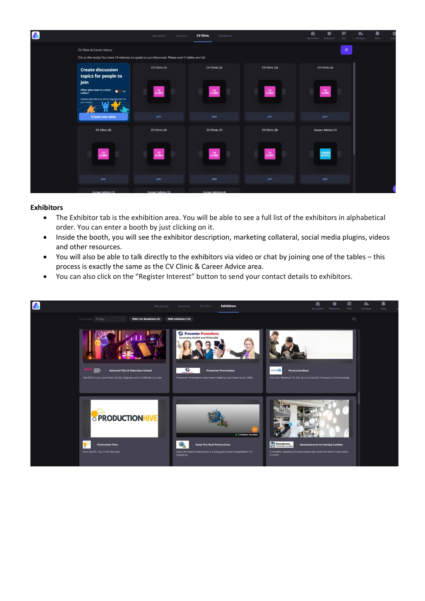| $\boldsymbol{\ell}$ |                                                                                                       | Reception<br>Sessions                                                                             | <b>CV Clinic</b><br>Exhibitors          |                                      | 屙<br>畫<br>Ú<br>My Schedule<br>Folls<br>Moderation | $\mathbf{G}_0$<br>O<br>⋒<br>Messages<br>Alerts<br>Setti |
|---------------------|-------------------------------------------------------------------------------------------------------|---------------------------------------------------------------------------------------------------|-----------------------------------------|--------------------------------------|---------------------------------------------------|---------------------------------------------------------|
|                     | CV Clinic & Career Advice                                                                             | CVs at the ready! You have 10 minutes to speak to a professional. Please wait if tables are full. |                                         |                                      | $\overline{\mathcal{L}}$                          |                                                         |
|                     | <b>Create discussion</b><br>topics for people to<br>join<br>Allow attendees to create<br>$\bullet$ No | CV Clinic (1)<br>$_{\rm CUMIC}^{\rm CV}$                                                          | CV Clinic (2)<br>$_{\rm CUMC}^{\rm CV}$ | CV Clinic (3)<br><b>CV</b><br>CLINIC | CV Clinic (4)<br>$_{\mathrm{CUMC}}^{\mathrm{CV}}$ |                                                         |
|                     | tables?<br>Enable attendees to drive engagement in<br>your event.<br><b>Create new table</b>          | join                                                                                              | join                                    | jom                                  | <b>Join</b>                                       |                                                         |
|                     | CV Clinic (5)                                                                                         | CV Clinic (6)                                                                                     | CV Clinic (7)                           | CV Clinic (8)                        | <b>Career Advice (1)</b>                          |                                                         |
|                     | <b>CV</b><br>CLINIC                                                                                   | $_{\rm CLMIC}^{\rm CV}$                                                                           | $_{\rm CUMIC}^{\rm CV}$                 | <b>CV</b><br>CLINIC                  | <b>CAREER</b><br>ADVICE                           |                                                         |
|                     | loin                                                                                                  | Join                                                                                              | Join                                    | <b>join</b>                          | Join                                              |                                                         |
|                     | Career Advice (2)                                                                                     | Career Advice (3)                                                                                 | <b>Career Advice (4)</b>                |                                      |                                                   |                                                         |

#### **Exhibitors**

- The Exhibitor tab is the exhibition area. You will be able to see a full list of the exhibitors in alphabetical order. You can enter a booth by just clicking on it.
- Inside the booth, you will see the exhibitor description, marketing collateral, social media plugins, videos and other resources.
- You will also be able to talk directly to the exhibitors via video or chat by joining one of the tables this process is exactly the same as the CV Clinic & Career Advice area.
- You can also click on the "Register Interest" button to send your contact details to exhibitors.

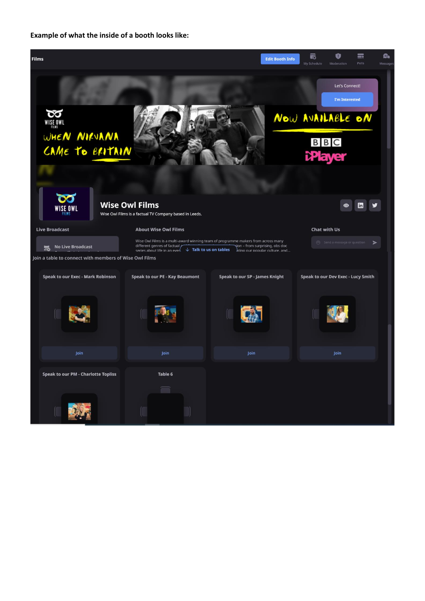**Example of what the inside of a booth looks like:** 

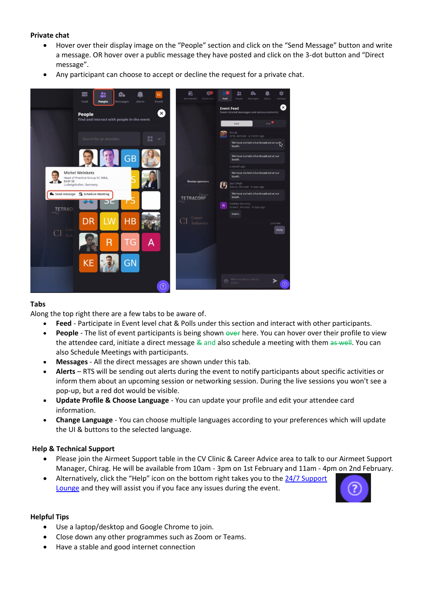# **Private chat**

- Hover over their display image on the "People" section and click on the "Send Message" button and write a message. OR hover over a public message they have posted and click on the 3-dot button and "Direct message".
- Any participant can choose to accept or decline the request for a private chat.



# **Tabs**

Along the top right there are a few tabs to be aware of.

- **Feed** Participate in Event level chat & Polls under this section and interact with other participants.
- People The list of event participants is being shown over here. You can hover over their profile to view the attendee card, initiate a direct message & and also schedule a meeting with them as well. You can also Schedule Meetings with participants.
- **Messages** All the direct messages are shown under this tab.
- **Alerts** RTS will be sending out alerts during the event to notify participants about specific activities or inform them about an upcoming session or networking session. During the live sessions you won't see a pop-up, but a red dot would be visible.
- **Update Profile & Choose Language** You can update your profile and edit your attendee card information.
- **Change Language** You can choose multiple languages according to your preferences which will update the UI & buttons to the selected language.

# **Help & Technical Support**

- Please join the Airmeet Support table in the CV Clinic & Career Advice area to talk to our Airmeet Support Manager, Chirag. He will be available from 10am - 3pm on 1st February and 11am - 4pm on 2nd February.
- Alternatively, click the "Help" icon on the bottom right takes you to the [24/7 Support](https://www.airmeet.com/event/b6645470-f81d-11ea-bdd0-e9fe5fe214a9)  [Lounge](https://www.airmeet.com/event/b6645470-f81d-11ea-bdd0-e9fe5fe214a9) and they will assist you if you face any issues during the event.



## **Helpful Tips**

- Use a laptop/desktop and Google Chrome to join.
- Close down any other programmes such as Zoom or Teams.
- Have a stable and good internet connection